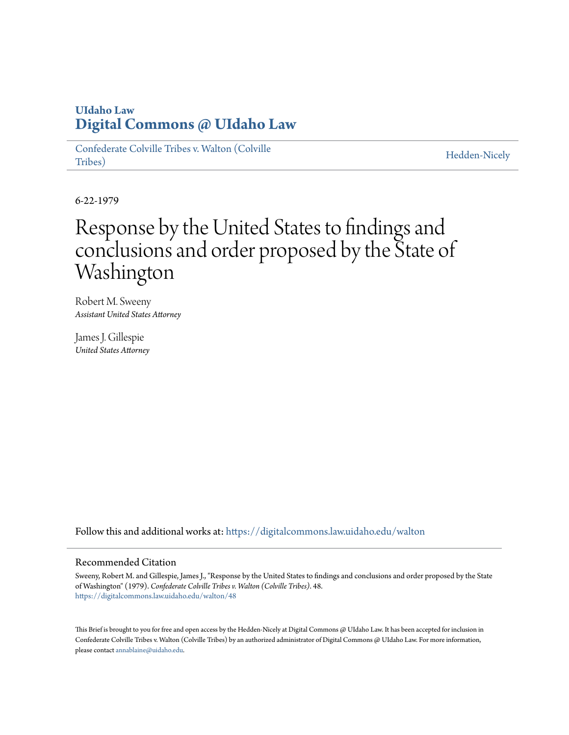## **UIdaho Law [Digital Commons @ UIdaho Law](https://digitalcommons.law.uidaho.edu?utm_source=digitalcommons.law.uidaho.edu%2Fwalton%2F48&utm_medium=PDF&utm_campaign=PDFCoverPages)**

[Confederate Colville Tribes v. Walton \(Colville](https://digitalcommons.law.uidaho.edu/walton?utm_source=digitalcommons.law.uidaho.edu%2Fwalton%2F48&utm_medium=PDF&utm_campaign=PDFCoverPages) [Tribes\)](https://digitalcommons.law.uidaho.edu/walton?utm_source=digitalcommons.law.uidaho.edu%2Fwalton%2F48&utm_medium=PDF&utm_campaign=PDFCoverPages)

[Hedden-Nicely](https://digitalcommons.law.uidaho.edu/hedden-nicely?utm_source=digitalcommons.law.uidaho.edu%2Fwalton%2F48&utm_medium=PDF&utm_campaign=PDFCoverPages)

6-22-1979

## Response by the United States to findings and conclusions and order proposed by the State of Washington

Robert M. Sweeny *Assistant United States Attorney*

James J. Gillespie *United States Attorney*

Follow this and additional works at: [https://digitalcommons.law.uidaho.edu/walton](https://digitalcommons.law.uidaho.edu/walton?utm_source=digitalcommons.law.uidaho.edu%2Fwalton%2F48&utm_medium=PDF&utm_campaign=PDFCoverPages)

## Recommended Citation

Sweeny, Robert M. and Gillespie, James J., "Response by the United States to findings and conclusions and order proposed by the State of Washington" (1979). *Confederate Colville Tribes v. Walton (Colville Tribes)*. 48. [https://digitalcommons.law.uidaho.edu/walton/48](https://digitalcommons.law.uidaho.edu/walton/48?utm_source=digitalcommons.law.uidaho.edu%2Fwalton%2F48&utm_medium=PDF&utm_campaign=PDFCoverPages)

This Brief is brought to you for free and open access by the Hedden-Nicely at Digital Commons @ UIdaho Law. It has been accepted for inclusion in Confederate Colville Tribes v. Walton (Colville Tribes) by an authorized administrator of Digital Commons @ UIdaho Law. For more information, please contact [annablaine@uidaho.edu](mailto:annablaine@uidaho.edu).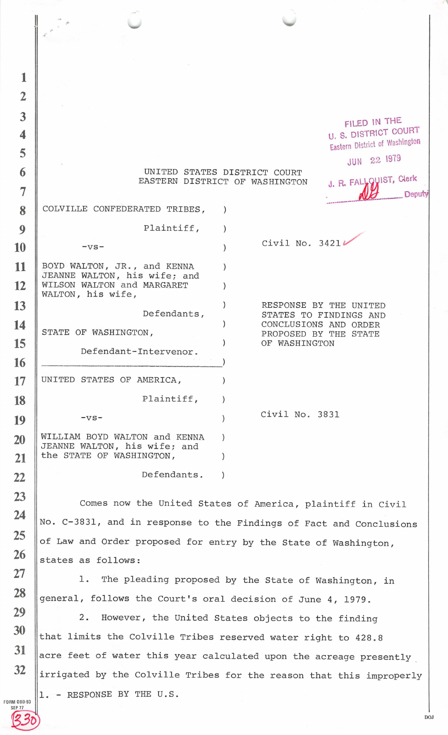| 1              |                                                                     |  |                                                  |                                |  |
|----------------|---------------------------------------------------------------------|--|--------------------------------------------------|--------------------------------|--|
| $\overline{2}$ |                                                                     |  |                                                  |                                |  |
| 3              |                                                                     |  |                                                  | FILED IN THE                   |  |
| 4              |                                                                     |  |                                                  | <b>U. S. DISTRICT COURT</b>    |  |
| 5              |                                                                     |  |                                                  | Eastern District of Washington |  |
| 6              | JUN 22 1979<br>UNITED STATES DISTRICT COURT                         |  |                                                  |                                |  |
|                | J. R. FALLQUIST, Clerk<br>EASTERN DISTRICT OF WASHINGTON            |  |                                                  |                                |  |
| 7              |                                                                     |  |                                                  | Deputy                         |  |
| 8              | COLVILLE CONFEDERATED TRIBES,                                       |  |                                                  |                                |  |
| 9              | Plaintiff,                                                          |  |                                                  |                                |  |
| 10             | $-VS-$                                                              |  | Civil No. 3421                                   |                                |  |
| 11             | BOYD WALTON, JR., and KENNA                                         |  |                                                  |                                |  |
| 12             | JEANNE WALTON, his wife; and<br>WILSON WALTON and MARGARET          |  |                                                  |                                |  |
|                | WALTON, his wife,                                                   |  |                                                  |                                |  |
| 13             | Defendants,                                                         |  | RESPONSE BY THE UNITED<br>STATES TO FINDINGS AND |                                |  |
| 14             | STATE OF WASHINGTON,                                                |  | CONCLUSIONS AND ORDER<br>PROPOSED BY THE STATE   |                                |  |
| 15             | Defendant-Intervenor.                                               |  | OF WASHINGTON                                    |                                |  |
| 16             |                                                                     |  |                                                  |                                |  |
| 17             | UNITED STATES OF AMERICA,                                           |  |                                                  |                                |  |
| 18             | Plaintiff,                                                          |  |                                                  |                                |  |
| 19             | $-vs-$                                                              |  | Civil No. 3831                                   |                                |  |
| 20             | WILLIAM BOYD WALTON and KENNA                                       |  |                                                  |                                |  |
| 21             | JEANNE WALTON, his wife; and<br>the STATE OF WASHINGTON,            |  |                                                  |                                |  |
| 22             | Defendants.                                                         |  |                                                  |                                |  |
| 23             |                                                                     |  |                                                  |                                |  |
| 24             | Comes now the United States of America, plaintiff in Civil          |  |                                                  |                                |  |
|                | No. C-3831, and in response to the Findings of Fact and Conclusions |  |                                                  |                                |  |
| 25             | of Law and Order proposed for entry by the State of Washington,     |  |                                                  |                                |  |
| 26             | states as follows:                                                  |  |                                                  |                                |  |
| 27             | l.<br>The pleading proposed by the State of Washington, in          |  |                                                  |                                |  |
| 28             | general, follows the Court's oral decision of June 4, 1979.         |  |                                                  |                                |  |

2. However, the United States objects to the finding that limits the Colville Tribes reserved water right to 428 . <sup>8</sup> acre feet of water this year calculated upon the acreage presently irrigated by the Colville Tribes for the reason that this improperly 1. - RESPONSE BY THE U.S.

FORM 080·93

**29** 

**30** 

**31** 

32

DOJ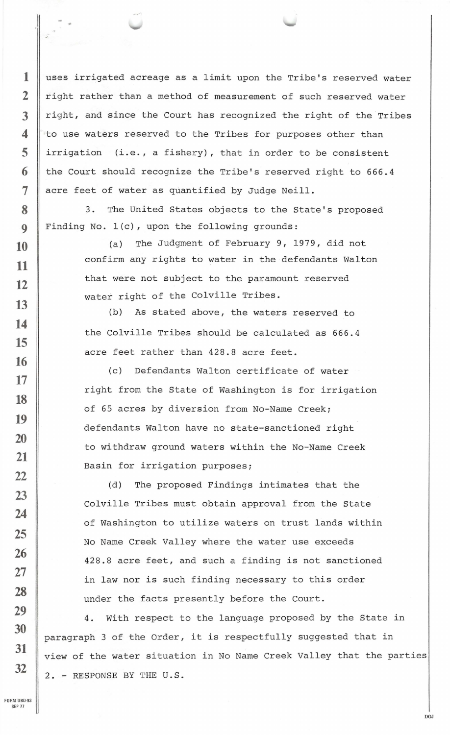uses irrigated acreage as a limit upon the Tribe's reserved water right rather than a method of measurement of such reserved water right, and since the Court has recognized the right of the Tribes to use waters reserved to the Tribes for purposes other than irrigation (i.e., a fishery), that in order to be consistent the Court should recognize the Tribe's reserved right to 666.4 acre feet of water as quantified by Judge Neill.

3. The United States objects to the State's proposed Finding No. l(c), upon the following grounds:

> (a) The Judgment of February 9, 1979, did not confirm any rights to water in the defendants Walton that were not subject to the paramount reserved water right of the Colville Tribes.

(b) As stated above, the waters reserved to the Colville Tribes should be calculated as 666.4 acre feet rather than 428.8 acre feet.

(c) Defendants Walton certificate of water right from the State of Washington is for irrigation of 65 acres by diversion from No-Name Creek; defendants Walton have no state-sanctioned right to withdraw ground waters within the No-Name Creek Basin for irrigation purposes;

(d) The proposed Findings intimates that the Colville Tribes must obtain approval from the State of Washington to utilize waters on trust lands within No Name Creek Valley where the water use exceeds 428.8 acre feet, and such a finding is not sanctioned in law nor is such finding necessary to this order under the facts presently before the Court.

4. With respect to the language proposed by the State in paragraph 3 of the Order, it is respectfully suggested that in view of the water situation in No Name Creek Valley that the parties 2. - RESPONSE BY THE U.S .

DOJ

FORM 080-93 SEP *71* 

**1** 

**2** 

**3** 

**4** 

**5** 

**6** 

**7** 

**8** 

**9** 

**10** 

**11** 

**12** 

**13** 

**14** 

**15** 

**16** 

**17** 

**18** 

**19** 

**20** 

**21** 

**22** 

**23** 

**24** 

**25** 

**26** 

**27** 

**28** 

**29** 

**30** 

**31** 

**32**